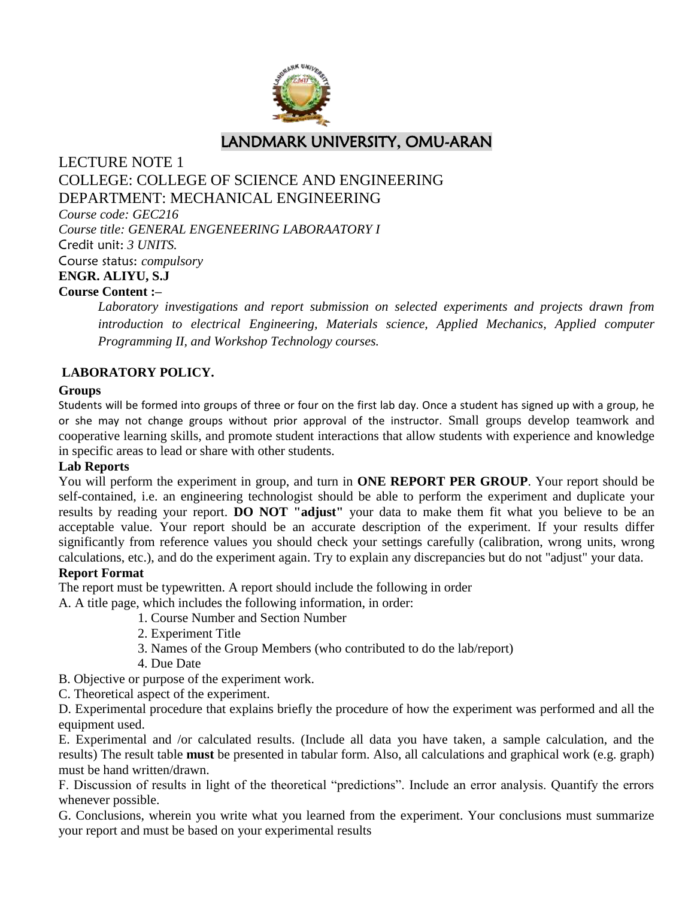

LANDMARK UNIVERSITY, OMU-ARAN

## LECTURE NOTE 1 COLLEGE: COLLEGE OF SCIENCE AND ENGINEERING DEPARTMENT: MECHANICAL ENGINEERING

*Course code: GEC216 Course title: GENERAL ENGENEERING LABORAATORY I*  Credit unit: *3 UNITS.* Course status: *compulsory* **ENGR. ALIYU, S.J Course Content :–**

> *Laboratory investigations and report submission on selected experiments and projects drawn from introduction to electrical Engineering, Materials science, Applied Mechanics, Applied computer Programming II, and Workshop Technology courses.*

## **LABORATORY POLICY.**

#### **Groups**

Students will be formed into groups of three or four on the first lab day. Once a student has signed up with a group, he or she may not change groups without prior approval of the instructor. Small groups develop teamwork and cooperative learning skills, and promote student interactions that allow students with experience and knowledge in specific areas to lead or share with other students.

#### **Lab Reports**

You will perform the experiment in group, and turn in **ONE REPORT PER GROUP**. Your report should be self-contained, i.e. an engineering technologist should be able to perform the experiment and duplicate your results by reading your report. **DO NOT "adjust"** your data to make them fit what you believe to be an acceptable value. Your report should be an accurate description of the experiment. If your results differ significantly from reference values you should check your settings carefully (calibration, wrong units, wrong calculations, etc.), and do the experiment again. Try to explain any discrepancies but do not "adjust" your data.

#### **Report Format**

The report must be typewritten. A report should include the following in order

A. A title page, which includes the following information, in order:

- 1. Course Number and Section Number
- 2. Experiment Title
- 3. Names of the Group Members (who contributed to do the lab/report)
- 4. Due Date
- B. Objective or purpose of the experiment work.
- C. Theoretical aspect of the experiment.

D. Experimental procedure that explains briefly the procedure of how the experiment was performed and all the equipment used.

E. Experimental and /or calculated results. (Include all data you have taken, a sample calculation, and the results) The result table **must** be presented in tabular form. Also, all calculations and graphical work (e.g. graph) must be hand written/drawn.

F. Discussion of results in light of the theoretical "predictions". Include an error analysis. Quantify the errors whenever possible.

G. Conclusions, wherein you write what you learned from the experiment. Your conclusions must summarize your report and must be based on your experimental results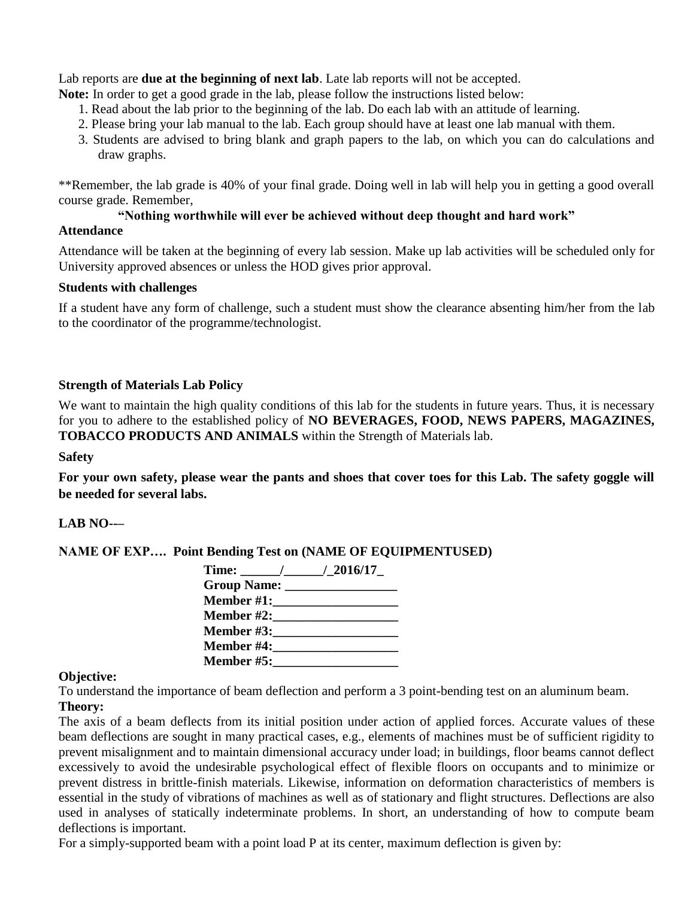Lab reports are **due at the beginning of next lab**. Late lab reports will not be accepted.

**Note:** In order to get a good grade in the lab, please follow the instructions listed below:

- 1. Read about the lab prior to the beginning of the lab. Do each lab with an attitude of learning.
- 2. Please bring your lab manual to the lab. Each group should have at least one lab manual with them.
- 3. Students are advised to bring blank and graph papers to the lab, on which you can do calculations and draw graphs.

\*\*Remember, the lab grade is 40% of your final grade. Doing well in lab will help you in getting a good overall course grade. Remember,

#### "Nothing worthwhile will ever be achieved without deep thought and hard work"

#### **Attendance**

Attendance will be taken at the beginning of every lab session. Make up lab activities will be scheduled only for University approved absences or unless the HOD gives prior approval.

#### **Students with challenges**

If a student have any form of challenge, such a student must show the clearance absenting him/her from the lab to the coordinator of the programme/technologist.

#### **Strength of Materials Lab Policy**

We want to maintain the high quality conditions of this lab for the students in future years. Thus, it is necessary for you to adhere to the established policy of **NO BEVERAGES, FOOD, NEWS PAPERS, MAGAZINES, TOBACCO PRODUCTS AND ANIMALS** within the Strength of Materials lab.

#### **Safety**

**For your own safety, please wear the pants and shoes that cover toes for this Lab. The safety goggle will be needed for several labs.**

#### **LAB NO--–**

**NAME OF EXP…. Point Bending Test on (NAME OF EQUIPMENTUSED)**

| Time: $/2016/17$                    |  |
|-------------------------------------|--|
| Group Name: _________________       |  |
|                                     |  |
| <b>Member #2:</b> New York 1980     |  |
| <b>Member #3:</b> New York 1980     |  |
| <b>Member #4:__________________</b> |  |
| <b>Member #5:</b> New York 1980     |  |

#### **Objective:**

To understand the importance of beam deflection and perform a 3 point-bending test on an aluminum beam. **Theory:** 

The axis of a beam deflects from its initial position under action of applied forces. Accurate values of these beam deflections are sought in many practical cases, e.g., elements of machines must be of sufficient rigidity to prevent misalignment and to maintain dimensional accuracy under load; in buildings, floor beams cannot deflect excessively to avoid the undesirable psychological effect of flexible floors on occupants and to minimize or prevent distress in brittle-finish materials. Likewise, information on deformation characteristics of members is essential in the study of vibrations of machines as well as of stationary and flight structures. Deflections are also used in analyses of statically indeterminate problems. In short, an understanding of how to compute beam deflections is important.

For a simply-supported beam with a point load P at its center, maximum deflection is given by: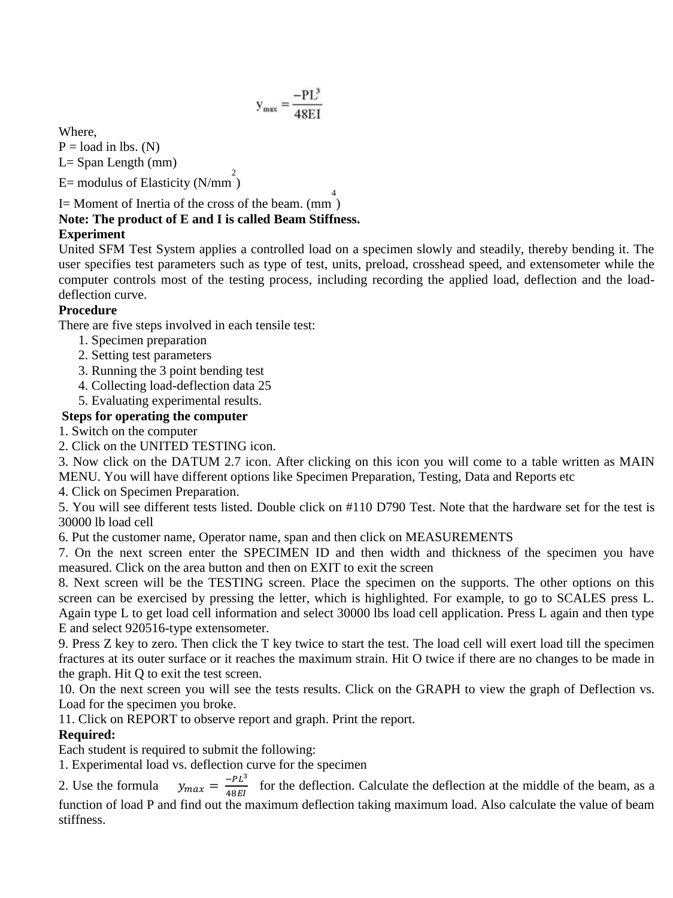$$
y_{\text{max}} = \frac{-PL^3}{48EI}
$$

Where,

 $P =$ load in lbs. (N)  $L =$  Span Length (mm)

 $E=$  modulus of Elasticity (N/mm<sup>2</sup>)

## I = Moment of Inertia of the cross of the beam.  $\frac{4}{(nm)}$ **Note: The product of E and I is called Beam Stiffness.**

## **Experiment**

United SFM Test System applies a controlled load on a specimen slowly and steadily, thereby bending it. The user specifies test parameters such as type of test, units, preload, crosshead speed, and extensometer while the computer controls most of the testing process, including recording the applied load, deflection and the loaddeflection curve.

#### **Procedure**

There are five steps involved in each tensile test:

- 1. Specimen preparation
- 2. Setting test parameters
- 3. Running the 3 point bending test
- 4. Collecting load-deflection data 25
- 5. Evaluating experimental results.

#### **Steps for operating the computer**

1. Switch on the computer

2. Click on the UNITED TESTING icon.

3. Now click on the DATUM 2.7 icon. After clicking on this icon you will come to a table written as MAIN MENU. You will have different options like Specimen Preparation, Testing, Data and Reports etc

4. Click on Specimen Preparation.

5. You will see different tests listed. Double click on #110 D790 Test. Note that the hardware set for the test is 30000 lb load cell

6. Put the customer name, Operator name, span and then click on MEASUREMENTS

7. On the next screen enter the SPECIMEN ID and then width and thickness of the specimen you have measured. Click on the area button and then on EXIT to exit the screen

8. Next screen will be the TESTING screen. Place the specimen on the supports. The other options on this screen can be exercised by pressing the letter, which is highlighted. For example, to go to SCALES press L. Again type L to get load cell information and select 30000 lbs load cell application. Press L again and then type E and select 920516-type extensometer.

9. Press Z key to zero. Then click the T key twice to start the test. The load cell will exert load till the specimen fractures at its outer surface or it reaches the maximum strain. Hit O twice if there are no changes to be made in the graph. Hit Q to exit the test screen.

10. On the next screen you will see the tests results. Click on the GRAPH to view the graph of Deflection vs. Load for the specimen you broke.

11. Click on REPORT to observe report and graph. Print the report.

## **Required:**

Each student is required to submit the following:

1. Experimental load vs. deflection curve for the specimen

2. Use the formula  $-PL^3$  $\frac{F_{L}}{48EI}$  for the deflection. Calculate the deflection at the middle of the beam, as a function of load P and find out the maximum deflection taking maximum load. Also calculate the value of beam stiffness.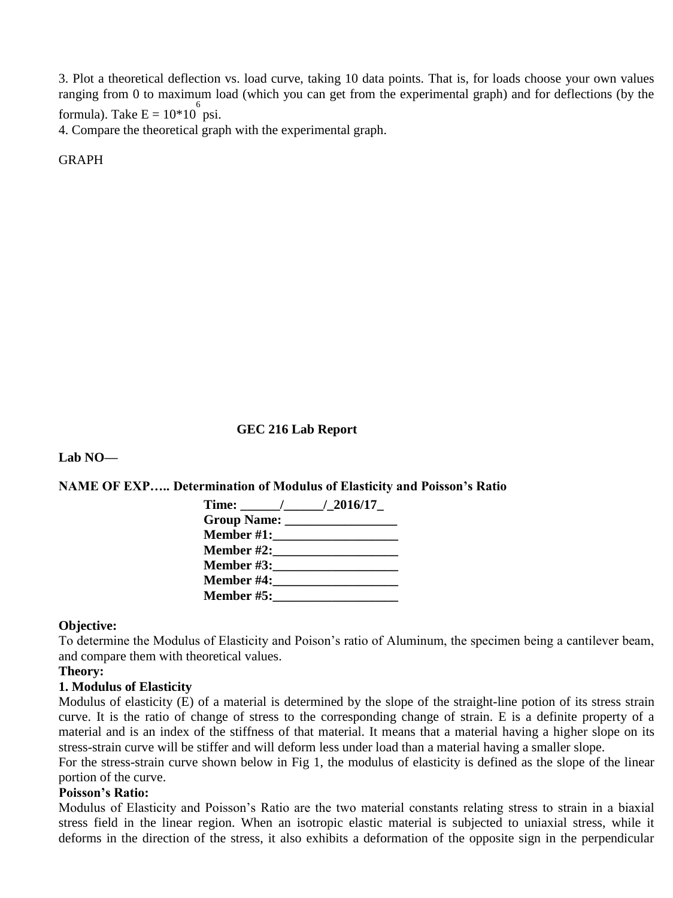3. Plot a theoretical deflection vs. load curve, taking 10 data points. That is, for loads choose your own values ranging from 0 to maximum load (which you can get from the experimental graph) and for deflections (by the formula). Take  $E = 10*10^6$  psi.

4. Compare the theoretical graph with the experimental graph.

**GRAPH** 

#### **GEC 216 Lab Report**

**Lab NO—**

**NAME OF EXP….. Determination of Modulus of Elasticity and Poisson's Ratio** 

| Time: $/2016/17$                    |  |
|-------------------------------------|--|
| Group Name: _________________       |  |
| <b>Member #1:__________________</b> |  |
| <b>Member #2:_______________</b>    |  |
| <b>Member #3:</b> New York 1980     |  |
| <b>Member #4:</b> New York 1980     |  |
| <b>Member #5:________</b>           |  |

#### **Objective:**

To determine the Modulus of Elasticity and Poison's ratio of Aluminum, the specimen being a cantilever beam, and compare them with theoretical values.

#### **Theory:**

#### **1. Modulus of Elasticity**

Modulus of elasticity (E) of a material is determined by the slope of the straight-line potion of its stress strain curve. It is the ratio of change of stress to the corresponding change of strain. E is a definite property of a material and is an index of the stiffness of that material. It means that a material having a higher slope on its stress-strain curve will be stiffer and will deform less under load than a material having a smaller slope.

For the stress-strain curve shown below in Fig 1, the modulus of elasticity is defined as the slope of the linear portion of the curve.

#### **Poisson's Ratio:**

Modulus of Elasticity and Poisson's Ratio are the two material constants relating stress to strain in a biaxial stress field in the linear region. When an isotropic elastic material is subjected to uniaxial stress, while it deforms in the direction of the stress, it also exhibits a deformation of the opposite sign in the perpendicular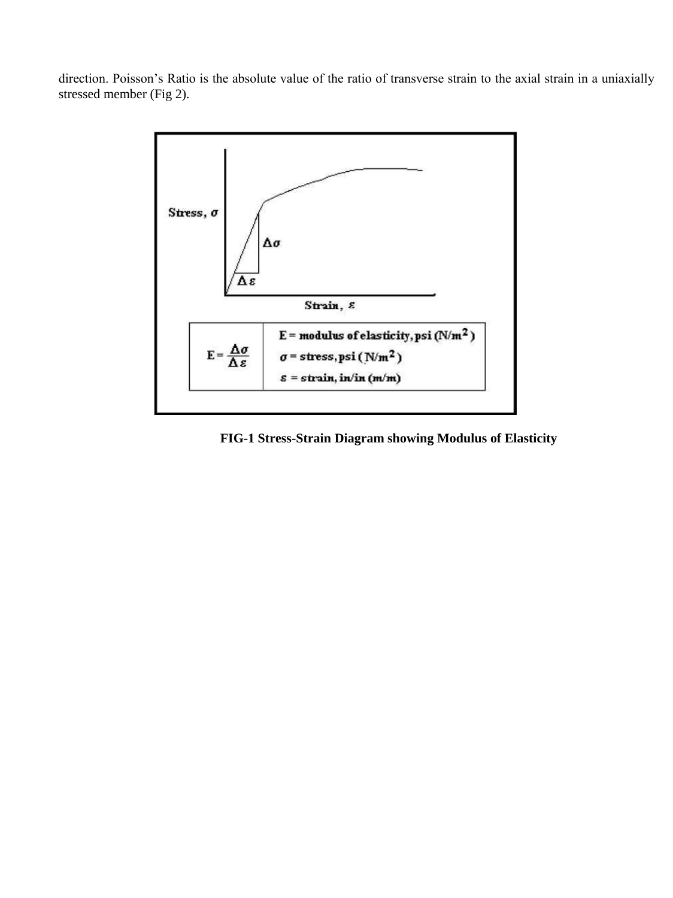direction. Poisson's Ratio is the absolute value of the ratio of transverse strain to the axial strain in a uniaxially stressed member (Fig 2).



 **FIG-1 Stress-Strain Diagram showing Modulus of Elasticity**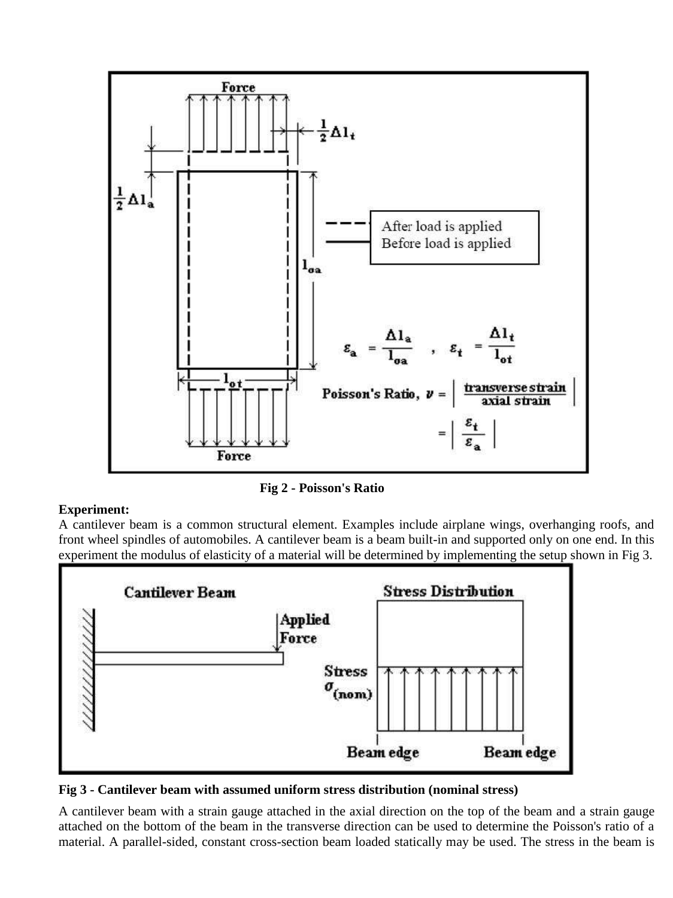

 **Fig 2 - Poisson's Ratio** 

#### **Experiment:**

A cantilever beam is a common structural element. Examples include airplane wings, overhanging roofs, and front wheel spindles of automobiles. A cantilever beam is a beam built-in and supported only on one end. In this experiment the modulus of elasticity of a material will be determined by implementing the setup shown in Fig 3.



**Fig 3 - Cantilever beam with assumed uniform stress distribution (nominal stress)** 

A cantilever beam with a strain gauge attached in the axial direction on the top of the beam and a strain gauge attached on the bottom of the beam in the transverse direction can be used to determine the Poisson's ratio of a material. A parallel-sided, constant cross-section beam loaded statically may be used. The stress in the beam is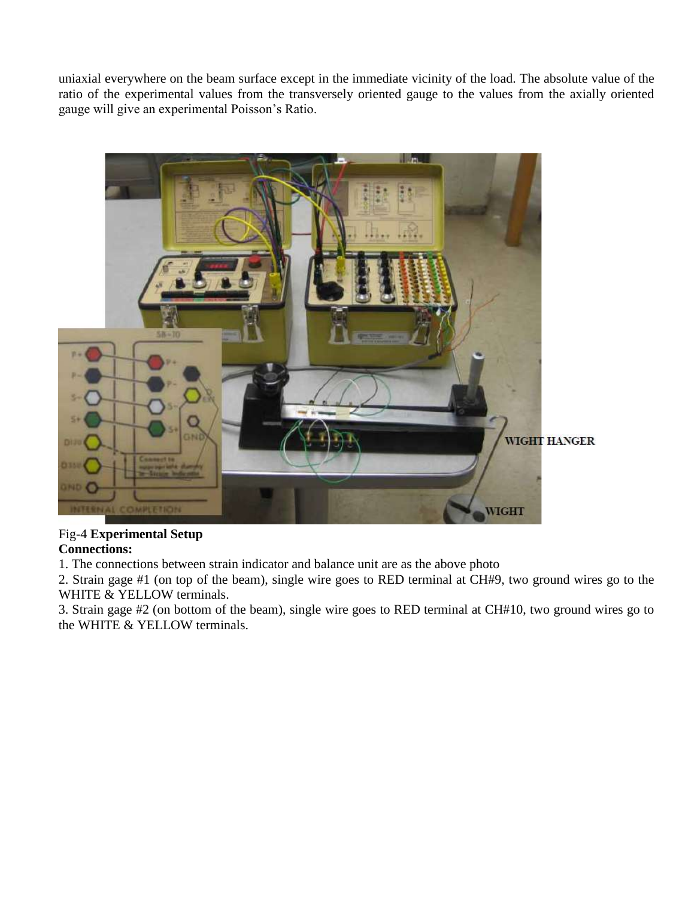uniaxial everywhere on the beam surface except in the immediate vicinity of the load. The absolute value of the ratio of the experimental values from the transversely oriented gauge to the values from the axially oriented gauge will give an experimental Poisson's Ratio.



# Fig-4 **Experimental Setup**

**Connections:** 

1. The connections between strain indicator and balance unit are as the above photo

2. Strain gage #1 (on top of the beam), single wire goes to RED terminal at CH#9, two ground wires go to the WHITE & YELLOW terminals.

3. Strain gage #2 (on bottom of the beam), single wire goes to RED terminal at CH#10, two ground wires go to the WHITE & YELLOW terminals.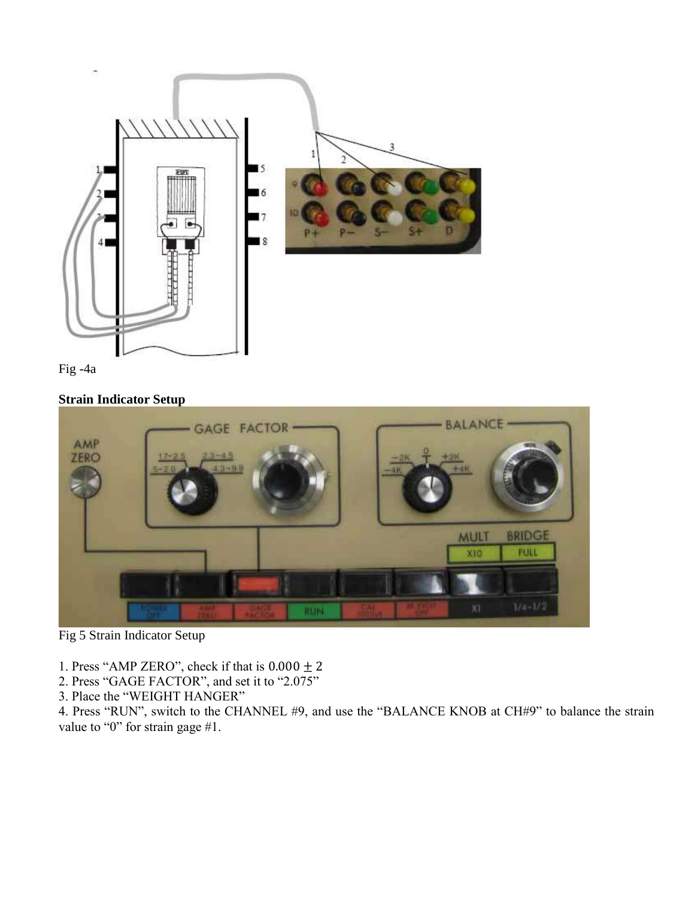



## **Strain Indicator Setup**



Fig 5 Strain Indicator Setup

1. Press "AMP ZERO", check if that is  $0.000 \pm 2$ 

2. Press "GAGE FACTOR", and set it to "2.075"

3. Place the "WEIGHT HANGER"

4. Press "RUN", switch to the CHANNEL #9, and use the "BALANCE KNOB at CH#9" to balance the strain value to "0" for strain gage #1.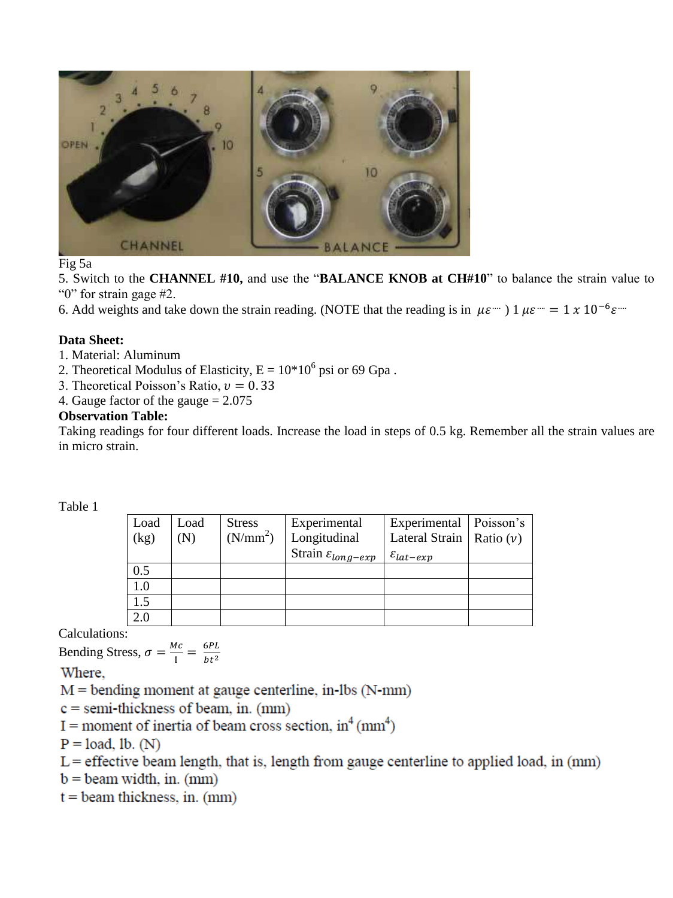

Fig 5a

5. Switch to the **CHANNEL #10,** and use the "**BALANCE KNOB at CH#10**" to balance the strain value to "0" for strain gage #2.

6. Add weights and take down the strain reading. (NOTE that the reading is in  $\mu \varepsilon$   $\mu$ )  $\mu$  $\epsilon$   $\mu$  = 1 x 10<sup>-6</sup> $\epsilon$   $\mu$ 

#### **Data Sheet:**

1. Material: Aluminum

2. Theoretical Modulus of Elasticity,  $E = 10*10^6$  psi or 69 Gpa.

3. Theoretical Poisson's Ratio,  $v = 0.33$ 

4. Gauge factor of the gauge  $= 2.075$ 

#### **Observation Table:**

Taking readings for four different loads. Increase the load in steps of 0.5 kg. Remember all the strain values are in micro strain.

#### Table 1

| Load | Load | <b>Stress</b>        | Experimental                    | Experimental   Poisson's     |  |
|------|------|----------------------|---------------------------------|------------------------------|--|
| (kg) | (N)  | (N/mm <sup>2</sup> ) | Longitudinal                    | Lateral Strain   Ratio $(v)$ |  |
|      |      |                      | Strain $\varepsilon_{long-exp}$ | $\varepsilon_{lat-exp}$      |  |
| 0.5  |      |                      |                                 |                              |  |
| 1.0  |      |                      |                                 |                              |  |
| 1.5  |      |                      |                                 |                              |  |
|      |      |                      |                                 |                              |  |

Calculations:

Bending Stress,  $\sigma = \frac{M}{I}$  $\frac{1}{I} = \frac{6}{h}$  $ht^2$ 

Where.

 $M =$  bending moment at gauge centerline, in-lbs (N-mm)

 $c =$  semi-thickness of beam, in. (mm)

I = moment of inertia of beam cross section,  $in^4$  (mm<sup>4</sup>)

 $P = load, lb. (N)$ 

 $L =$  effective beam length, that is, length from gauge centerline to applied load, in  $(mm)$ 

 $b =$  beam width, in. (mm)

 $t =$  beam thickness, in. (mm)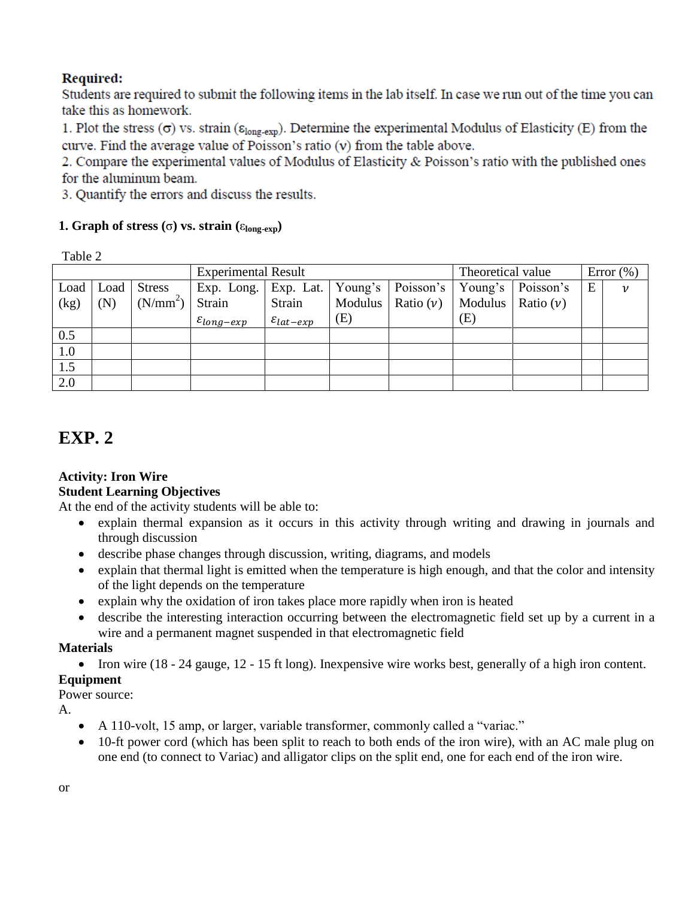## Required:

Students are required to submit the following items in the lab itself. In case we run out of the time you can take this as homework.

1. Plot the stress  $(\sigma)$  vs. strain ( $\varepsilon_{\text{long-exp}}$ ). Determine the experimental Modulus of Elasticity (E) from the curve. Find the average value of Poisson's ratio  $(v)$  from the table above.

2. Compare the experimental values of Modulus of Elasticity & Poisson's ratio with the published ones for the aluminum beam.

3. Quantify the errors and discuss the results.

## **1. Graph of stress (** $\sigma$ **) vs. strain (** $\epsilon_{\text{long-exn}}$ **)**

Table 2

|      |      |                      | <b>Experimental Result</b>       |                         |     | Theoretical value               |     | Error $(\%)$          |   |                    |
|------|------|----------------------|----------------------------------|-------------------------|-----|---------------------------------|-----|-----------------------|---|--------------------|
| Load | Load | <b>Stress</b>        | Exp. Long.   Exp. Lat.   Young's |                         |     | Poisson's   Young's   Poisson's |     |                       | E | $\boldsymbol{\nu}$ |
| (kg) | (N)  | (N/mm <sup>2</sup> ) | Strain                           | Strain                  |     | Modulus   Ratio $(v)$           |     | Modulus   Ratio $(v)$ |   |                    |
|      |      |                      | $\varepsilon_{long-exp}$         | $\varepsilon_{lat-exp}$ | (E) |                                 | (E) |                       |   |                    |
| 0.5  |      |                      |                                  |                         |     |                                 |     |                       |   |                    |
| 1.0  |      |                      |                                  |                         |     |                                 |     |                       |   |                    |
| 1.5  |      |                      |                                  |                         |     |                                 |     |                       |   |                    |
| 2.0  |      |                      |                                  |                         |     |                                 |     |                       |   |                    |

## **EXP. 2**

#### **Activity: Iron Wire Student Learning Objectives**

At the end of the activity students will be able to:

- explain thermal expansion as it occurs in this activity through writing and drawing in journals and through discussion
- describe phase changes through discussion, writing, diagrams, and models
- explain that thermal light is emitted when the temperature is high enough, and that the color and intensity of the light depends on the temperature
- explain why the oxidation of iron takes place more rapidly when iron is heated
- describe the interesting interaction occurring between the electromagnetic field set up by a current in a wire and a permanent magnet suspended in that electromagnetic field

#### **Materials**

• Iron wire (18 - 24 gauge, 12 - 15 ft long). Inexpensive wire works best, generally of a high iron content.

## **Equipment**

Power source:

A.

- A 110-volt, 15 amp, or larger, variable transformer, commonly called a "variac."
- 10-ft power cord (which has been split to reach to both ends of the iron wire), with an AC male plug on one end (to connect to Variac) and alligator clips on the split end, one for each end of the iron wire.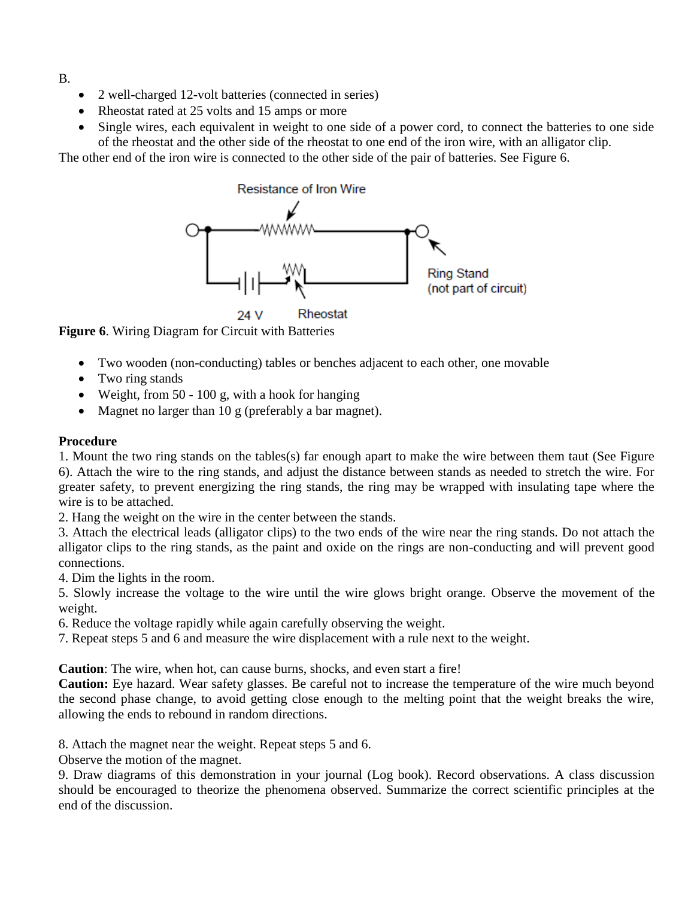- B.
- 2 well-charged 12-volt batteries (connected in series)
- Rheostat rated at 25 volts and 15 amps or more
- Single wires, each equivalent in weight to one side of a power cord, to connect the batteries to one side of the rheostat and the other side of the rheostat to one end of the iron wire, with an alligator clip.

The other end of the iron wire is connected to the other side of the pair of batteries. See Figure 6.



Rheostat 24 V

**Figure 6**. Wiring Diagram for Circuit with Batteries

- Two wooden (non-conducting) tables or benches adjacent to each other, one movable
- Two ring stands
- Weight, from 50 100 g, with a hook for hanging
- Magnet no larger than 10 g (preferably a bar magnet).

#### **Procedure**

1. Mount the two ring stands on the tables(s) far enough apart to make the wire between them taut (See Figure 6). Attach the wire to the ring stands, and adjust the distance between stands as needed to stretch the wire. For greater safety, to prevent energizing the ring stands, the ring may be wrapped with insulating tape where the wire is to be attached.

2. Hang the weight on the wire in the center between the stands.

3. Attach the electrical leads (alligator clips) to the two ends of the wire near the ring stands. Do not attach the alligator clips to the ring stands, as the paint and oxide on the rings are non-conducting and will prevent good connections.

4. Dim the lights in the room.

5. Slowly increase the voltage to the wire until the wire glows bright orange. Observe the movement of the weight.

6. Reduce the voltage rapidly while again carefully observing the weight.

7. Repeat steps 5 and 6 and measure the wire displacement with a rule next to the weight.

**Caution**: The wire, when hot, can cause burns, shocks, and even start a fire!

**Caution:** Eye hazard. Wear safety glasses. Be careful not to increase the temperature of the wire much beyond the second phase change, to avoid getting close enough to the melting point that the weight breaks the wire, allowing the ends to rebound in random directions.

8. Attach the magnet near the weight. Repeat steps 5 and 6.

Observe the motion of the magnet.

9. Draw diagrams of this demonstration in your journal (Log book). Record observations. A class discussion should be encouraged to theorize the phenomena observed. Summarize the correct scientific principles at the end of the discussion.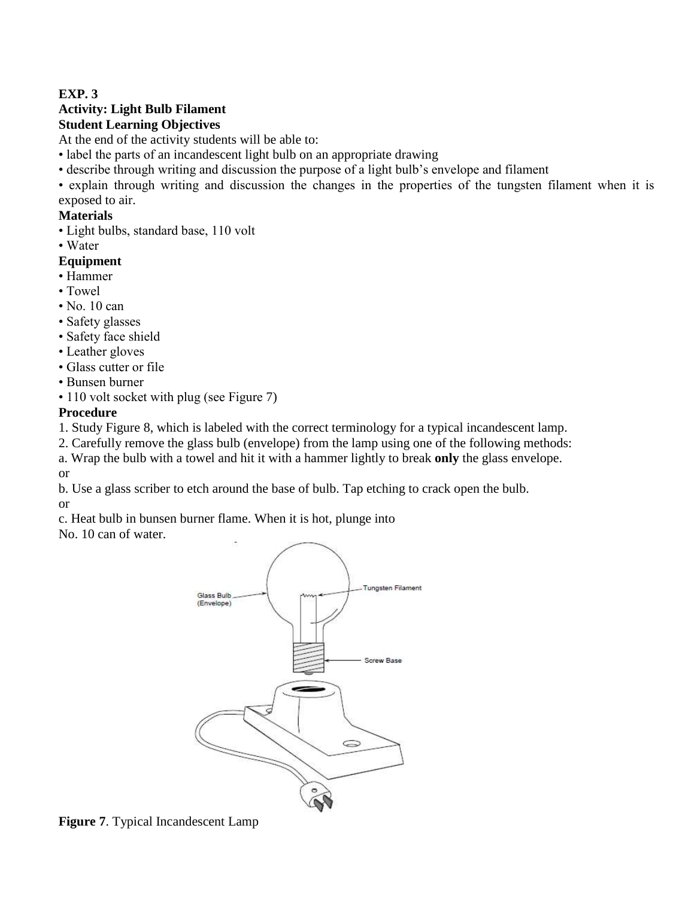## **EXP. 3**

## **Activity: Light Bulb Filament Student Learning Objectives**

At the end of the activity students will be able to:

- label the parts of an incandescent light bulb on an appropriate drawing
- describe through writing and discussion the purpose of a light bulb's envelope and filament
- explain through writing and discussion the changes in the properties of the tungsten filament when it is exposed to air.

### **Materials**

- Light bulbs, standard base, 110 volt
- Water

#### **Equipment**

- Hammer
- Towel
- No. 10 can
- Safety glasses
- Safety face shield
- Leather gloves
- Glass cutter or file
- Bunsen burner
- 110 volt socket with plug (see Figure 7)

#### **Procedure**

1. Study Figure 8, which is labeled with the correct terminology for a typical incandescent lamp.

2. Carefully remove the glass bulb (envelope) from the lamp using one of the following methods:

a. Wrap the bulb with a towel and hit it with a hammer lightly to break **only** the glass envelope. or

b. Use a glass scriber to etch around the base of bulb. Tap etching to crack open the bulb.

or

c. Heat bulb in bunsen burner flame. When it is hot, plunge into

No. 10 can of water.



**Figure 7**. Typical Incandescent Lamp